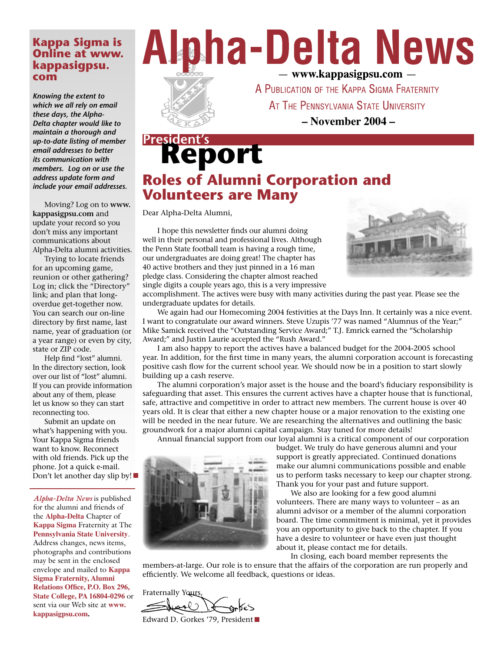#### **Kappa Sigma is Online at www. kappasigpsu. com**

*Knowing the extent to which we all rely on email these days, the Alpha-Delta chapter would like to maintain a thorough and up-to-date listing of member email addresses to better its communication with members. Log on or use the address update form and include your email addresses.*

 Moving? Log on to **www. kappasigpsu.com** and update your record so you don't miss any important communications about Alpha-Delta alumni activities.

 Trying to locate friends for an upcoming game, reunion or other gathering? Log in; click the "Directory" link; and plan that longoverdue get-together now. You can search our on-line directory by first name, last name, year of graduation (or a year range) or even by city, state or ZIP code.

 Help find "lost" alumni. In the directory section, look over our list of "lost" alumni. If you can provide information about any of them, please let us know so they can start reconnecting too.

 Submit an update on what's happening with you. Your Kappa Sigma friends want to know. Reconnect with old friends. Pick up the phone. Jot a quick e-mail. Don't let another day slip by!

*Alpha-Delta News* is published for the alumni and friends of the **Alpha-Delta** Chapter of **Kappa Sigma** Fraternity at The **Pennsylvania State University**. Address changes, news items, photographs and contributions may be sent in the enclosed envelope and mailed to **Kappa Sigma Fraternity, Alumni Relations Office, P.O. Box 296, State College, PA 16804-0296** or sent via our Web site at **www. kappasigpsu.com.**





A PUBLICATION OF THE KAPPA SIGMA FRATERNITY AT THE PENNSYLVANIA STATE UNIVERSITY

**– November 2004 –**

## **Report President's Roles of Alumni Corporation and Volunteers are Many**

Dear Alpha-Delta Alumni,

 I hope this newsletter finds our alumni doing well in their personal and professional lives. Although the Penn State football team is having a rough time, our undergraduates are doing great! The chapter has 40 active brothers and they just pinned in a 16 man pledge class. Considering the chapter almost reached single digits a couple years ago, this is a very impressive



accomplishment. The actives were busy with many activities during the past year. Please see the undergraduate updates for details.

 We again had our Homecoming 2004 festivities at the Days Inn. It certainly was a nice event. I want to congratulate our award winners. Steve Uzupis '77 was named "Alumnus of the Year;" Mike Samick received the "Outstanding Service Award;" T.J. Emrick earned the "Scholarship Award;" and Justin Laurie accepted the "Rush Award."

 I am also happy to report the actives have a balanced budget for the 2004-2005 school year. In addition, for the first time in many years, the alumni corporation account is forecasting positive cash flow for the current school year. We should now be in a position to start slowly building up a cash reserve.

 The alumni corporation's major asset is the house and the board's fiduciary responsibility is safeguarding that asset. This ensures the current actives have a chapter house that is functional, safe, attractive and competitive in order to attract new members. The current house is over 40 years old. It is clear that either a new chapter house or a major renovation to the existing one will be needed in the near future. We are researching the alternatives and outlining the basic groundwork for a major alumni capital campaign. Stay tuned for more details!

Annual financial support from our loyal alumni is a critical component of our corporation



budget. We truly do have generous alumni and your support is greatly appreciated. Continued donations make our alumni communications possible and enable us to perform tasks necessary to keep our chapter strong. Thank you for your past and future support.

 We also are looking for a few good alumni volunteers. There are many ways to volunteer – as an alumni advisor or a member of the alumni corporation board. The time commitment is minimal, yet it provides you an opportunity to give back to the chapter. If you have a desire to volunteer or have even just thought about it, please contact me for details.

In closing, each board member represents the

members-at-large. Our role is to ensure that the affairs of the corporation are run properly and efficiently. We welcome all feedback, questions or ideas.

Fraternally Yours, Edward D. Gorkes '79, President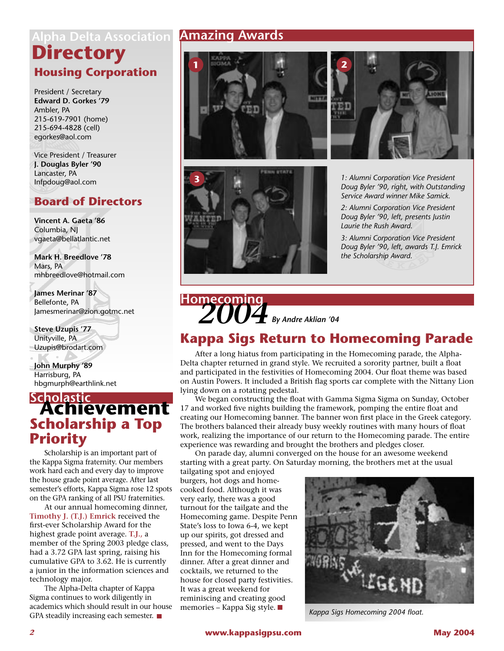## **Housing Corporation Directory Alpha Delta Association**

President / Secretary **Edward D. Gorkes '79** Ambler, PA 215-619-7901 (home) 215-694-4828 (cell) egorkes@aol.com

Vice President / Treasurer **J. Douglas Byler '90** Lancaster, PA Infpdoug@aol.com

### **Board of Directors**

**Vincent A. Gaeta '86** Columbia, NJ vgaeta@bellatlantic.net

**Mark H. Breedlove '78** Mars, PA mhbreedlove@hotmail.com

**James Merinar '87** Bellefonte, PA Jamesmerinar@zion.gotmc.net

**Steve Uzupis '77** Unityville, PA Uzupis@brodart.com

**John Murphy '89** Harrisburg, PA hbgmurph@earthlink.net

## **Achievement Scholastic Scholarship a Top Priority**

 Scholarship is an important part of the Kappa Sigma fraternity. Our members work hard each and every day to improve the house grade point average. After last semester's efforts, Kappa Sigma rose 12 spots on the GPA ranking of all PSU fraternities.

 At our annual homecoming dinner, **Timothy J. (T.J.) Emrick** received the first-ever Scholarship Award for the highest grade point average. **T.J.,** a member of the Spring 2003 pledge class, had a 3.72 GPA last spring, raising his cumulative GPA to 3.62. He is currently a junior in the information sciences and technology major.

 The Alpha-Delta chapter of Kappa Sigma continues to work diligently in academics which should result in our house GPA steadily increasing each semester.

### **Amazing Awards**







**3** *1: Alumni Corporation Vice President Doug Byler '90, right, with Outstanding Service Award winner Mike Samick.*

*2: Alumni Corporation Vice President Doug Byler '90, left, presents Justin Laurie the Rush Award.*

*3: Alumni Corporation Vice President Doug Byler '90, left, awards T.J. Emrick the Scholarship Award.*

# *2004* **Homecoming** *By Andre Aklian '04*

### **Kappa Sigs Return to Homecoming Parade**

 After a long hiatus from participating in the Homecoming parade, the Alpha-Delta chapter returned in grand style. We recruited a sorority partner, built a float and participated in the festivities of Homecoming 2004. Our float theme was based on Austin Powers. It included a British flag sports car complete with the Nittany Lion lying down on a rotating pedestal.

 We began constructing the float with Gamma Sigma Sigma on Sunday, October 17 and worked five nights building the framework, pomping the entire float and creating our Homecoming banner. The banner won first place in the Greek category. The brothers balanced their already busy weekly routines with many hours of float work, realizing the importance of our return to the Homecoming parade. The entire experience was rewarding and brought the brothers and pledges closer.

 On parade day, alumni converged on the house for an awesome weekend starting with a great party. On Saturday morning, the brothers met at the usual

tailgating spot and enjoyed burgers, hot dogs and homecooked food. Although it was very early, there was a good turnout for the tailgate and the Homecoming game. Despite Penn State's loss to Iowa 6-4, we kept up our spirits, got dressed and pressed, and went to the Days Inn for the Homecoming formal dinner. After a great dinner and cocktails, we returned to the house for closed party festivities. It was a great weekend for reminiscing and creating good memories – Kappa Sig style.



*Kappa Sigs Homecoming 2004 float.*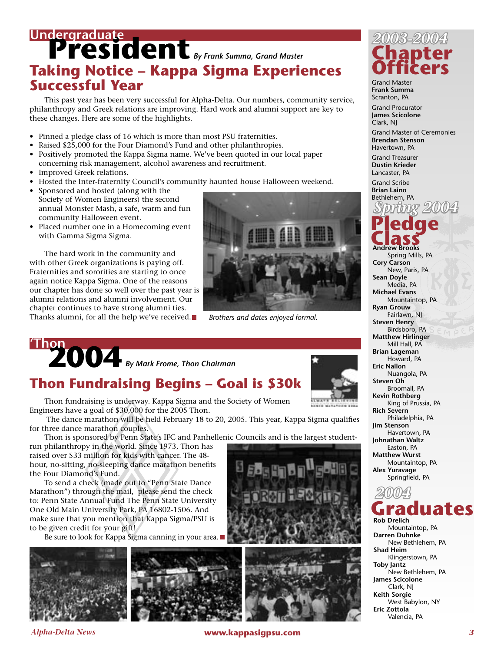## Undergraduate<br> **President** *By Frank Summa, Grand Master* **Taking Notice – Kappa Sigma Experiences Successful Year**

 This past year has been very successful for Alpha-Delta. Our numbers, community service, philanthropy and Greek relations are improving. Hard work and alumni support are key to these changes. Here are some of the highlights.

- Pinned a pledge class of 16 which is more than most PSU fraternities.
- Raised \$25,000 for the Four Diamond's Fund and other philanthropies.
- Positively promoted the Kappa Sigma name. We've been quoted in our local paper concerning risk management, alcohol awareness and recruitment.
- Improved Greek relations.
- Hosted the Inter-fraternity Council's community haunted house Halloween weekend.
- Sponsored and hosted (along with the Society of Women Engineers) the second annual Monster Mash, a safe, warm and fun community Halloween event.
- Placed number one in a Homecoming event with Gamma Sigma Sigma.

 The hard work in the community and with other Greek organizations is paying off. Fraternities and sororities are starting to once again notice Kappa Sigma. One of the reasons our chapter has done so well over the past year is alumni relations and alumni involvement. Our chapter continues to have strong alumni ties. Thanks alumni, for all the help we've received.



*Brothers and dates enjoyed formal.*

# **2004 By Mark Frome, Thon Chairman**

### **Thon Fundraising Begins – Goal is \$30k**

 Thon fundraising is underway. Kappa Sigma and the Society of Women Engineers have a goal of \$30,000 for the 2005 Thon.

 The dance marathon will be held February 18 to 20, 2005. This year, Kappa Sigma qualifies for three dance marathon couples.

Thon is sponsored by Penn State's IFC and Panhellenic Councils and is the largest student-

run philanthropy in the world. Since 1973, Thon has raised over \$33 million for kids with cancer. The 48 hour, no-sitting, no-sleeping dance marathon benefits the Four Diamond's Fund.

 To send a check (made out to "Penn State Dance Marathon") through the mail, please send the check to: Penn State Annual Fund The Penn State University One Old Main University Park, PA 16802-1506. And make sure that you mention that Kappa Sigma/PSU is to be given credit for your gift!

Be sure to look for Kappa Sigma canning in your area.





## **Chapter Officers** *2003-2004* Grand Master

**Frank Summa** Scranton, PA

Grand Procurator **James Scicolone** Clark, NJ

Grand Master of Ceremonies **Brendan Stenson** Havertown, PA

Grand Treasurer **Dustin Krieder**  Lancaster, PA

Grand Scribe **Brian Laino** Bethlehem, PA **Pledge Class Andrew Brooks**  *Spring 2004*  Spring Mills, PA **Cory Carson**  New, Paris, PA **Sean Doyle**  Media, PA **Michael Evans**  Mountaintop, PA **Ryan Grouw**  Fairlawn, NJ **Steven Henry**  Birdsboro, PA **Matthew Hirlinger**  Mill Hall, PA **Brian Lageman**  Howard, PA **Eric Nallon**  Nuangola, PA **Steven Oh**  Broomall, PA **Kevin Rothberg**  King of Prussia, PA **Rich Severn**  Philadelphia, PA **Jim Stenson**  Havertown, PA **Johnathan Waltz**  Easton, PA **Matthew Wurst**  Mountaintop, PA **Alex Yuravage**  Springfield, PA



 Mountaintop, PA **Darren Duhnke**  New Bethlehem, PA **Shad Heim**  Klingerstown, PA **Toby Jantz**  New Bethlehem, PA **James Scicolone**  Clark, NJ **Keith Sorgie**  West Babylon, NY **Eric Zottola**  Valencia, PA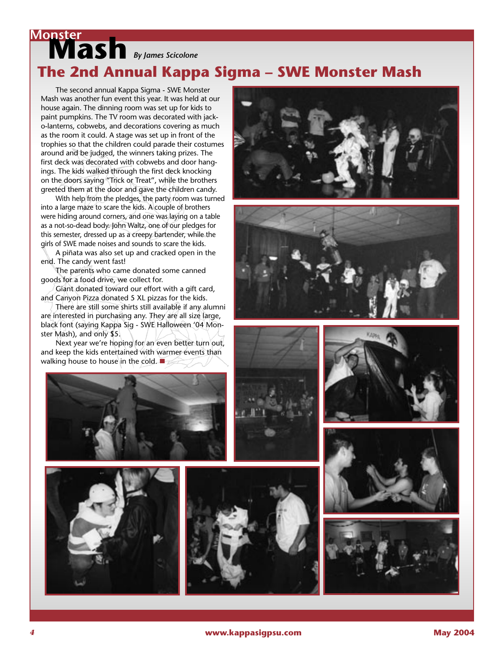## **Monster**<br> **Mash** *By James Scicolone* **The 2nd Annual Kappa Sigma – SWE Monster Mash**

 The second annual Kappa Sigma - SWE Monster Mash was another fun event this year. It was held at our house again. The dinning room was set up for kids to paint pumpkins. The TV room was decorated with jacko-lanterns, cobwebs, and decorations covering as much as the room it could. A stage was set up in front of the trophies so that the children could parade their costumes around and be judged, the winners taking prizes. The first deck was decorated with cobwebs and door hangings. The kids walked through the first deck knocking on the doors saying "Trick or Treat", while the brothers greeted them at the door and gave the children candy.

 With help from the pledges, the party room was turned into a large maze to scare the kids. A couple of brothers were hiding around corners, and one was laying on a table as a not-so-dead body. John Waltz, one of our pledges for this semester, dressed up as a creepy bartender, while the girls of SWE made noises and sounds to scare the kids.

 A piñata was also set up and cracked open in the end. The candy went fast!

 The parents who came donated some canned goods for a food drive, we collect for.

 Giant donated toward our effort with a gift card, and Canyon Pizza donated 5 XL pizzas for the kids.

 There are still some shirts still available if any alumni are interested in purchasing any. They are all size large, black font (saying Kappa Sig - SWE Halloween '04 Monster Mash), and only \$5.

 Next year we're hoping for an even better turn out, and keep the kids entertained with warmer events than walking house to house in the cold.















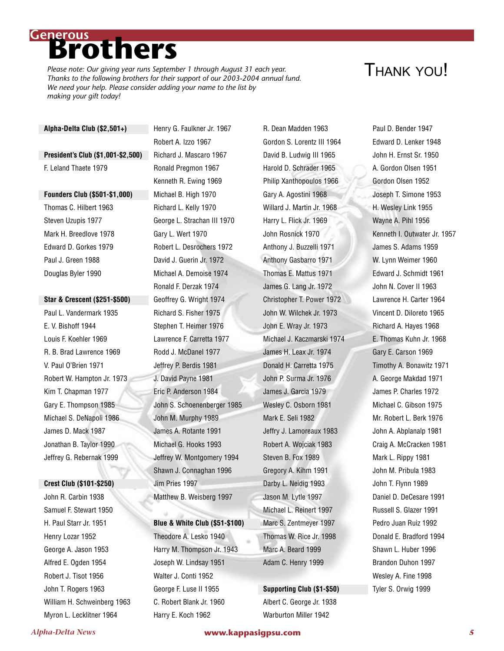## **Brothers Generous**

*Please note: Our giving year runs September 1 through August 31 each year. Thanks to the following brothers for their support of our 2003-2004 annual fund. We need your help. Please consider adding your name to the list by making your gift today!*

## THANK YOU!

#### **Alpha-Delta Club (\$2,501+)**

#### **President's Club (\$1,001-\$2,500)**  F. Leland Thaete 1979

#### **Founders Club (\$501-\$1,000)**

Thomas C. Hilbert 1963 Steven Uzupis 1977 Mark H. Breedlove 1978 Edward D. Gorkes 1979 Paul J. Green 1988 Douglas Byler 1990

#### **Star & Crescent (\$251-\$500)**

Paul L. Vandermark 1935 E. V. Bishoff 1944 Louis F. Koehler 1969 R. B. Brad Lawrence 1969 V. Paul O'Brien 1971 Robert W. Hampton Jr. 1973 Kim T. Chapman 1977 Gary E. Thompson 1985 Michael S. DeNapoli 1986 James D. Mack 1987 Jonathan B. Taylor 1990 Jeffrey G. Rebernak 1999

#### **Crest Club (\$101-\$250)**

John R. Carbin 1938 Samuel F. Stewart 1950 H. Paul Starr Jr. 1951 Henry Lozar 1952 George A. Jason 1953 Alfred E. Ogden 1954 Robert J. Tisot 1956 John T. Rogers 1963 William H. Schweinberg 1963 Myron L. Lecklitner 1964

Henry G. Faulkner Jr. 1967 Robert A. Izzo 1967 Richard J. Mascaro 1967 Ronald Pregmon 1967 Kenneth R. Ewing 1969 Michael B. High 1970 Richard L. Kelly 1970 George L. Strachan III 1970 Gary L. Wert 1970 Robert L. Desrochers 1972 David J. Guerin Jr. 1972 Michael A. Demoise 1974 Ronald F. Derzak 1974 Geoffrey G. Wright 1974 Richard S. Fisher 1975 Stephen T. Heimer 1976 Lawrence F. Carretta 1977 Rodd J. McDanel 1977 Jeffrey P. Berdis 1981 J. David Payne 1981 Eric P. Anderson 1984 John S. Schoenenberger 1985 John M. Murphy 1989 James A. Rotante 1991 Michael G. Hooks 1993 Jeffrey W. Montgomery 1994 Shawn J. Connaghan 1996 Jim Pries 1997 Matthew B. Weisberg 1997

#### **Blue & White Club (\$51-\$100)**

Theodore A. Lesko 1940 Harry M. Thompson Jr. 1943 Joseph W. Lindsay 1951 Walter J. Conti 1952 George F. Luse II 1955 C. Robert Blank Jr. 1960 Harry E. Koch 1962

R. Dean Madden 1963 Gordon S. Lorentz III 1964 David B. Ludwig III 1965 Harold D. Schrader 1965 Philip Xanthopoulos 1966 Gary A. Agostini 1968 Willard J. Martin Jr. 1968 Harry L. Flick Jr. 1969 John Rosnick 1970 Anthony J. Buzzelli 1971 Anthony Gasbarro 1971 Thomas E. Mattus 1971 James G. Lang Jr. 1972 Christopher T. Power 1972 John W. Wilchek Jr. 1973 John E. Wray Jr. 1973 Michael J. Kaczmarski 1974 James H. Leax Jr. 1974 Donald H. Carretta 1975 John P. Surma Jr. 1976 James J. Garcia 1979 Wesley C. Osborn 1981 Mark E. Seli 1982 Jeffry J. Lamoreaux 1983 Robert A. Wojciak 1983 Steven B. Fox 1989 Gregory A. Kihm 1991 Darby L. Neidig 1993 Jason M. Lytle 1997 Michael L. Reinert 1997 Marc S. Zentmeyer 1997 Thomas W. Rice Jr. 1998 Marc A. Beard 1999 Adam C. Henry 1999

#### **Supporting Club (\$1-\$50)**

Albert C. George Jr. 1938 Warburton Miller 1942

Paul D. Bender 1947 Edward D. Lenker 1948 John H. Ernst Sr. 1950 A. Gordon Olsen 1951 Gordon Olsen 1952 Joseph T. Simone 1953 H. Wesley Link 1955 Wayne A. Pihl 1956 Kenneth I. Outwater Jr. 1957 James S. Adams 1959 W. Lynn Weimer 1960 Edward J. Schmidt 1961 John N. Cover II 1963 Lawrence H. Carter 1964 Vincent D. Diloreto 1965 Richard A. Hayes 1968 E. Thomas Kuhn Jr. 1968 Gary E. Carson 1969 Timothy A. Bonawitz 1971 A. George Makdad 1971 James P. Charles 1972 Michael C. Gibson 1975 Mr. Robert L. Berk 1976 John A. Abplanalp 1981 Craig A. McCracken 1981 Mark L. Rippy 1981 John M. Pribula 1983 John T. Flynn 1989 Daniel D. DeCesare 1991 Russell S. Glazer 1991 Pedro Juan Ruiz 1992 Donald E. Bradford 1994 Shawn L. Huber 1996 Brandon Duhon 1997 Wesley A. Fine 1998 Tyler S. Orwig 1999